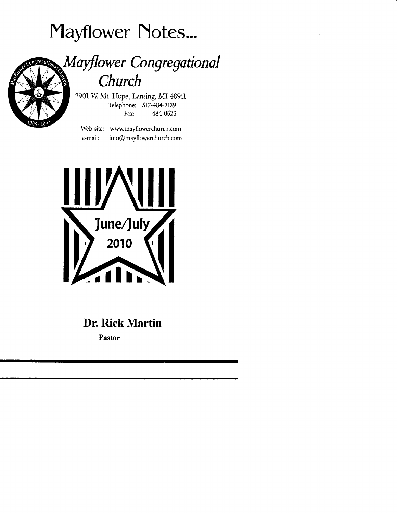# Mayflower Notes...



## Mayflower Congregational Church

2901 W. Mt. Hope, Lansing, MI 48911 Telephone: 517-484-3139 Fax: 484-0525

Web site: www.mayflowerchurch.com e-mail: info@mayflowerchurch.com



## Dr. Rick Martin

Pastor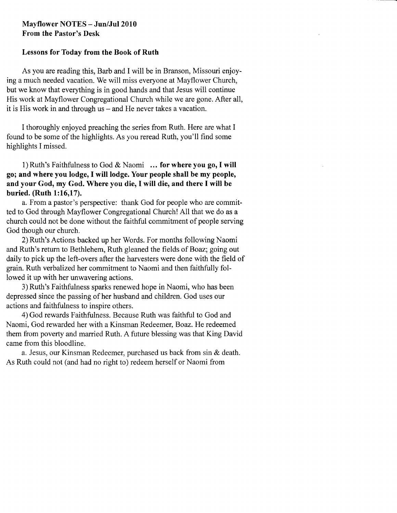#### Mayflower NOTES - Jun/Jul2010 From the Pastor's Desk

#### Lessons for Today from the Book of Ruth

As you are reading this, Barb and I will be in Branson, Missouri enjoying a much needed vacation. We will miss everyone at Mayflower Church, but we know that everything is in good hands and that Jesus will continue His work at Mayflower Congregational Church while we are gone. After all, it is His work in and through us – and He never takes a vacation.

I thoroughly enjoyed preaching the series from Ruth. Here are what I found to be some of the highlights. As you reread Ruth, you'll find some highlights I missed.

1) Ruth's Faithfulness to God & Naomi ... for where you go, I will go; and where you lodge,I will lodge. Your people shall be my people, and your God, my God. Where you die, I will die, and there I will be buried. (Ruth l:16,17).

a. From a pastor's perspective: thank God for people who are committed to God through Mayflower Congregational Chwch! All that we do as a church could not be done without the faithful commitment of people serving God though our church.

2) Ruth's Actions backed up her Words. For months following Naomi and Ruth's return to Bethlehem, Ruth gleaned the fields of Boaz; going out daily to pick up the left-overs after the harvesters were done with the field of grain. Ruth verbalized her commitment to Naomi and then faithfully followed it up with her unwavering actions.

3) Ruth's Faithfulness sparks renewed hope in Naomi, who has been depressed since the passing of her husband and children. God uses our actions and faithfulness to inspire others.

4) God rewards Faithfulness. Because Ruth was faithful to God and Naomi, God rewarded her with a Kinsman Redeemer, Boaz. He redeemed them from poverty and married Ruth. A future blessing was that King David came from this bloodline.

a. Jesus, our Kinsman Redeemer, purchased us back from sin & death. As Ruth could not (and had no right to) redeem herself or Naomi from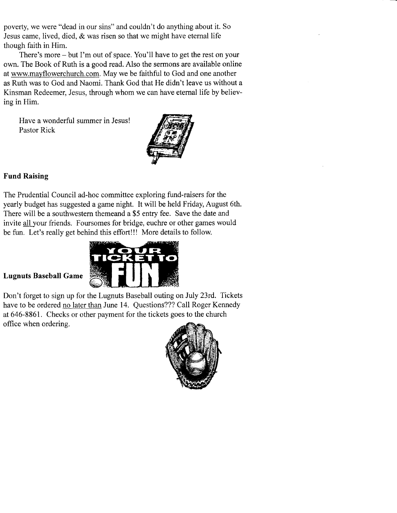poverty, we were "dead in our sins" and couldn't do anything about it. So Jesus came, lived, died, & was risen so that we might have etemal life though faith in Him.

There's more - but I'm out of space. You'll have to get the rest on your own. The Book of Ruth is a good read. Also the sermons are available online at wwwmayflowerchurch.com.May we be faithful to God and one another as Ruth was to God and Naomi. Thank God that He didn't leave us without a Kinsman Redeemer, Jesus, through whom we can have etemal life by believing in Him.

Have a wonderful summer in Jesus! Pastor Rick



#### Fund Raising

The Prudential Council ad-hoc committee exploring fund-raisers for the yearly budget has suggested a game night. It will be held Friday, August 6th, There will be a southwestern themeand a \$5 entry fee. Save the date and invite all your friends. Foursomes for bridge, euchre or other games would be fun. Let's really get behind this effort!!! More details to follow.



#### Lugnuts Baseball Game

Don't forget to sign up for the Lugnuts Baseball outing on July 23rd. Tickets have to be ordered no later than June 14. Questions??? Call Roger Kennedy at 646-8861. Checks or other payment for the tickets goes to the church office when ordering.

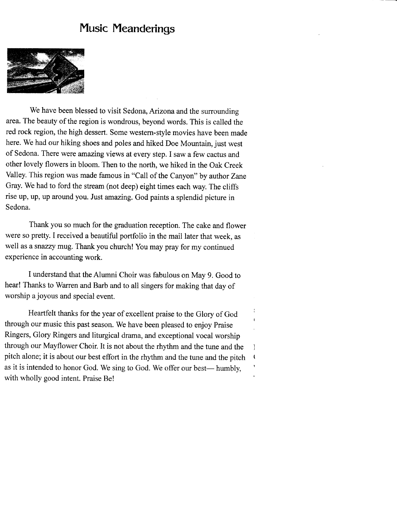### Music Meanderings



We have been blessed to visit Sedona, Arizona and the surrounding area. The beauty of the region is wondrous, beyond words. This is called the red rock region, the high dessert. Some western-style movies have been made here. we had our hiking shoes and poles and hiked Doe Mountain, just west of Sedona. There were amazing views at every step. I saw a few cactus and other lovely flowers in bloom. Then to the north, we hiked in the Oak Creek valley. This region was made famous in "call of the canyon" by author Zane Gray. we had to ford the stream (not deep) eight times each way. The cliffs rise up, up, up around you. Just amazing. God paints a splendid picture in Sedona.

Thank you so much for the graduation reception. The cake and flower were so pretty. I received a beautiful portfolio in the mail later that week, as well as asnazzy mug. Thank you church! You may pray for my continued experience in accounting work.

I understand that the Alumni Choir was fabulous on May 9. Good to hear! Thanks to warren and Barb and to all singers for making that day of worship a joyous and special event.

Heartfelt thanks for the year of excellent praise to the Glory of God through our music this past season. we have been pleased to enjoy praise Ringers, Glory Ringers and liturgical drama, and exceptional vocal worship through our Mayflower Choir. It is not about the rhythm and the tune and the pitch alone; it is about our best effiort in the rhyhm and the tune and the pitch as it is intended to honor God. We sing to God. We offer our best- humbly, with wholly good intent. Praise Be!

I ( I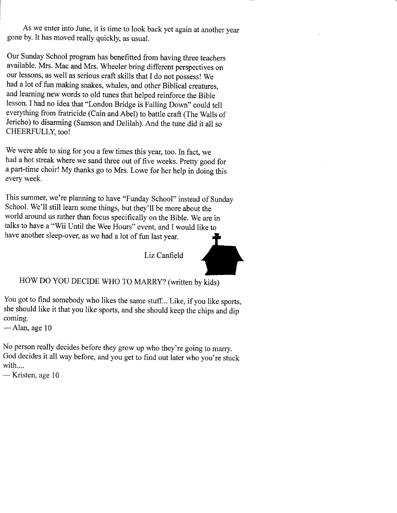As we enter into June, it is time to look back yet again at another year gone by. It has moved really quickly, as usual.

Our Sunday School program has benefitted from having three teachers available. Mrs. Mac and Mrs. wheeler bring different perspectives on our lessons, as well as serious craft skills that I do not possess! we had a lot of fun making snakes, whales, and other Biblical creatures, and learning new words to old tunes that helped reinforce the Bible lesson. I had no idea that "London Bridge is Falling Down" could tell everything from fratricide (Cain and Abel) to battle craft (The Walls of Jericho) to disarming (Samson and Delilah). And the tune did it all so CHEERFULLY, too!

We were able to sing for you a few times this year, too. In fact, we had a hot streak where we sand three out of five weeks. Pretty good for <sup>a</sup>part-time choir! My thanks go to Mrs. Lowe for her help in doing this every week.

This summer, we're planning to have "Funday school" instead of Sunday school. we'll still learn some things, but they'll be more about the world around us rather than focus specifically on the Bible. we are in talks to have a "Wii Until the Wee Hours" event, and I would like to have another sleep-over, as we had a lot of fun last year.

Liz Canfield

HOW DO YOU DECIDE WHO TO MARRY? (written by kids)

You got to find somebody who likes the same stuff.. Like, if you like sports, she should like it that you like sports, and she should keep the chips and dip coming.

 $-$ Alan, age 10

No person really decides before they grow up who they're going to marry. God decides it all way before, and you get to find out later who you're stuck with....

-Kristen, age 10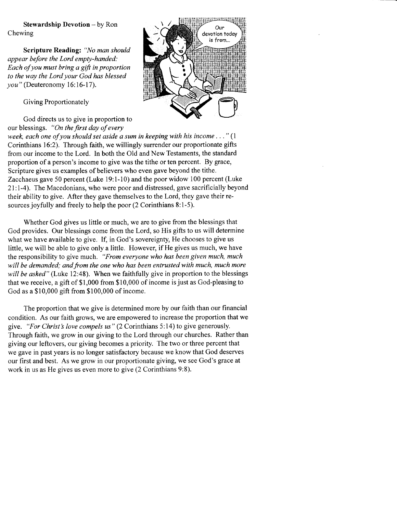Stewardship Devotion - by Ron Chewing

Scripture Reading: "No man should appear before the Lord empty-handed: Each of you must bring a gift in proportion to the way the Lord your God has blessed you" (Deuteronomy 16:16-17).

Giving Proportionately

God directs us to give in proportion to our blessings. "On the first day of every



week, each one of you should set aside a sum in keeping with his income..."  $(1)$ Corinthians l6:2). Through faith, we willingly surrender our proportionate gifts from our income to the Lord. In both the Old and New Testaments, the standard proportion of a person's income to give was the tithe or ten percent. By grace, Scripture gives us examples of believers who even gave beyond the tithe. Zacchaeus gave 50 percent (Luke 19:1-10) and the poor widow 100 percent (Luke 21:l-4). The Macedonians, who were poor and distressed, gave sacrificially beyond their ability to give. After they gave themselves to the Lord, they gave their resources joyfully and freely to help the poor (2 Corinthians 8:l-5).

Whether God gives us little or much, we are to give from the blessings that God provides. Our blessings come from the Lord, so His gifts to us will determine what we have available to give. If, in God's sovereignty, He chooses to give us little, we will be able to give only a little. However, if He gives us much, we have the responsibility to give much. "From everyone who has been given much, much will be demanded; and from the one who has been entrusted with much, much more will be asked" (Luke 12:48). When we faithfully give in proportion to the blessings that we receive, a gift of \$1,000 from \$10,000 of income is just as God-pleasing to God as a \$10,000 gift from \$100,000 of income.

The proportion that we give is determined more by our faith than our financial condition. As our faith grows, we are empowered to increase the proportion that we give. "For Christ's love compels us" (2 Corinthians 5:14) to give generously. Through faith, we grow in our giving to the Lord through our churches. Rather than giving our leftovers, our giving becomes a priority. The two or three percent that we gave in past years is no longer satisfactory because we know that God deserves our first and best. As we grow in our proportionate giving, we see God's grace at work in us as He gives us even more to give (2 Corinthians 9:8).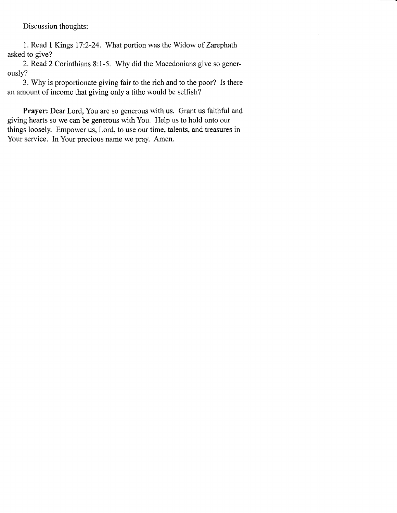Discussion thoughts:

1. Read I Kings 17:2-24. What portion was the Widow of Zarcphath asked to give?

2. Read 2 Corinthians 8:1-5. Why did the Macedonians give so generously?

3. Why is proportionate giving fair to the rich and to the poor? Is there an amount of income that giving only a tithe would be selfish?

Prayer: Dear Lord, You are so generous with us. Grant us faithful and giving hearts so we can be generous with You. Help us to hold onto our things loosely. Empower us, Lord, to use our time, talents, and treasures in Your service. In Your precious name we pray. Amen.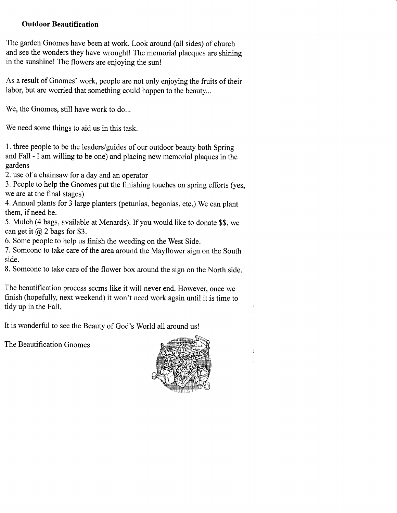#### Outdoor Beautification

The garden Gnomes have been at work. Look around (all sides) of church and see the wonders they have wrought! The memorial placques are shining in the sunshine! The flowers are enjoying the sun!

As a result of Gnomes' work, people are not only enjoying the fruits of their labor, but are worried that something could happen to the beauty...

We, the Gnomes, still have work to do...

We need some things to aid us in this task.

1. three people to be the leaders/guides of our outdoor beauty both Spring and Fall - I am willing to be one) and placing new memorial plaques in the gardens

2. use of a chainsaw for a day and an operator

3, People to help the Gnomes put the finishing touches on spring efforts (yes, we are at the final stages)

4. Annual plants for 3 large planters (petunias, begonias, etc.) We can plant them, if need be.

5. Mulch (4 bags, available at Menards). If you would like to donate \$\$, we can get it  $(a)$  2 bags for \$3.

6. Some people to help us finish the weeding on the West Side.

7. Someone to take care of the area around the Mayflower sign on the South side.

8. someone to take care of the flower box around the sign on the North side.

The beautification process seems like it will never end. However, once we finish (hopefully, next weekend) it won't need work again until it is time to tidy up in the Fall.

It is wonderful to see the Beauty of God's World all around us!

The Beautification Gnomes